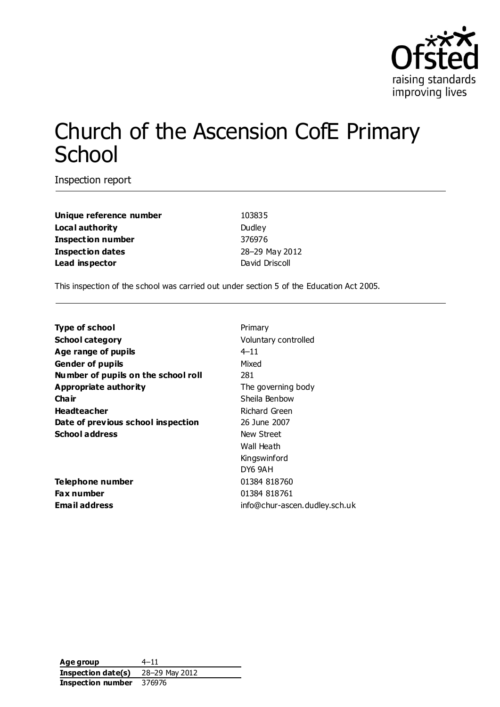

# Church of the Ascension CofE Primary **School**

Inspection report

**Unique reference number** 103835 **Local authority** Dudley **Inspection number** 376976 **Inspection dates** 28–29 May 2012 **Lead inspector** David Driscoll

This inspection of the school was carried out under section 5 of the Education Act 2005.

| <b>Type of school</b>               | Primary                       |
|-------------------------------------|-------------------------------|
| <b>School category</b>              | Voluntary controlled          |
| Age range of pupils                 | $4 - 11$                      |
| <b>Gender of pupils</b>             | Mixed                         |
| Number of pupils on the school roll | 281                           |
| <b>Appropriate authority</b>        | The governing body            |
| Cha ir                              | Sheila Benbow                 |
| <b>Headteacher</b>                  | Richard Green                 |
| Date of previous school inspection  | 26 June 2007                  |
| <b>School address</b>               | New Street                    |
|                                     | Wall Heath                    |
|                                     | Kingswinford                  |
|                                     | DY6 9AH                       |
| Telephone number                    | 01384 818760                  |
| Fax number                          | 01384 818761                  |
| <b>Email address</b>                | info@chur-ascen.dudley.sch.uk |
|                                     |                               |

**Age group** 4–11 **Inspection date(s)** 28–29 May 2012 **Inspection number** 376976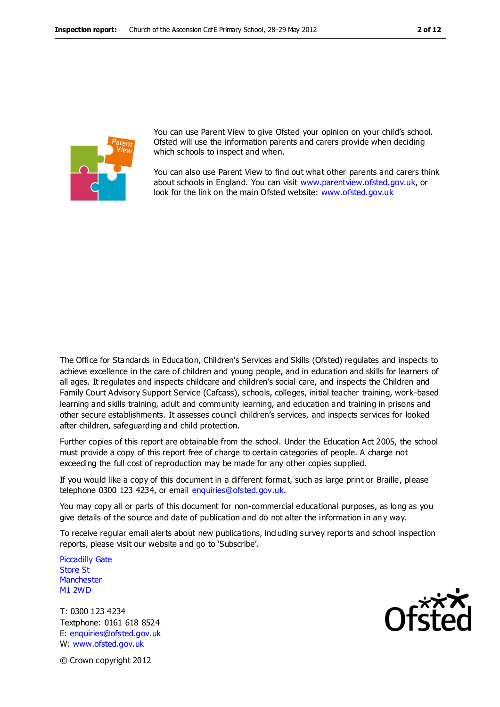

You can use Parent View to give Ofsted your opinion on your child's school. Ofsted will use the information parents and carers provide when deciding which schools to inspect and when.

You can also use Parent View to find out what other parents and carers think about schools in England. You can visit [www.parentview.ofsted.gov.uk,](http://www.parentview.ofsted.gov.uk/) or look for the link on the main Ofsted website: [www.ofsted.gov.uk](http://www.ofsted.gov.uk/)

The Office for Standards in Education, Children's Services and Skills (Ofsted) regulates and inspects to achieve excellence in the care of children and young people, and in education and skills for learners of all ages. It regulates and inspects childcare and children's social care, and inspects the Children and Family Court Advisory Support Service (Cafcass), schools, colleges, initial teacher training, work-based learning and skills training, adult and community learning, and education and training in prisons and other secure establishments. It assesses council children's services, and inspects services for looked after children, safeguarding and child protection.

Further copies of this report are obtainable from the school. Under the Education Act 2005, the school must provide a copy of this report free of charge to certain categories of people. A charge not exceeding the full cost of reproduction may be made for any other copies supplied.

If you would like a copy of this document in a different format, such as large print or Braille, please telephone 0300 123 4234, or email enquiries@ofsted.gov.uk.

You may copy all or parts of this document for non-commercial educational purposes, as long as you give details of the source and date of publication and do not alter the information in an y way.

To receive regular email alerts about new publications, including survey reports and school inspection reports, please visit our website and go to 'Subscribe'.

Piccadilly Gate Store St **Manchester** M1 2WD

T: 0300 123 4234 Textphone: 0161 618 8524 E: enquiries@ofsted.gov.uk W: www.ofsted.gov.uk



© Crown copyright 2012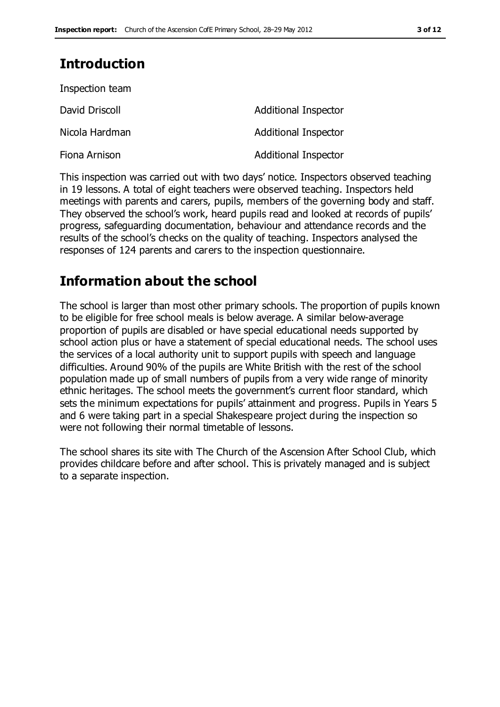# **Introduction**

| Inspection team |                             |
|-----------------|-----------------------------|
| David Driscoll  | <b>Additional Inspector</b> |
| Nicola Hardman  | <b>Additional Inspector</b> |
| Fiona Arnison   | <b>Additional Inspector</b> |

This inspection was carried out with two days' notice. Inspectors observed teaching in 19 lessons. A total of eight teachers were observed teaching. Inspectors held meetings with parents and carers, pupils, members of the governing body and staff. They observed the school's work, heard pupils read and looked at records of pupils' progress, safeguarding documentation, behaviour and attendance records and the results of the school's checks on the quality of teaching. Inspectors analysed the responses of 124 parents and carers to the inspection questionnaire.

## **Information about the school**

The school is larger than most other primary schools. The proportion of pupils known to be eligible for free school meals is below average. A similar below-average proportion of pupils are disabled or have special educational needs supported by school action plus or have a statement of special educational needs. The school uses the services of a local authority unit to support pupils with speech and language difficulties. Around 90% of the pupils are White British with the rest of the school population made up of small numbers of pupils from a very wide range of minority ethnic heritages. The school meets the government's current floor standard, which sets the minimum expectations for pupils' attainment and progress. Pupils in Years 5 and 6 were taking part in a special Shakespeare project during the inspection so were not following their normal timetable of lessons.

The school shares its site with The Church of the Ascension After School Club, which provides childcare before and after school. This is privately managed and is subject to a separate inspection.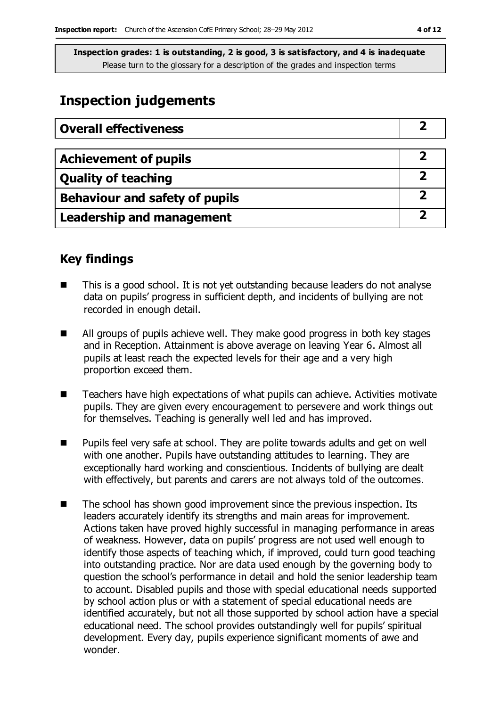# **Inspection judgements**

| <b>Overall effectiveness</b>     |  |
|----------------------------------|--|
|                                  |  |
| <b>Achievement of pupils</b>     |  |
| <b>Quality of teaching</b>       |  |
| Behaviour and safety of pupils   |  |
| <b>Leadership and management</b> |  |

### **Key findings**

- This is a good school. It is not yet outstanding because leaders do not analyse data on pupils' progress in sufficient depth, and incidents of bullying are not recorded in enough detail.
- All groups of pupils achieve well. They make good progress in both key stages and in Reception. Attainment is above average on leaving Year 6. Almost all pupils at least reach the expected levels for their age and a very high proportion exceed them.
- Teachers have high expectations of what pupils can achieve. Activities motivate pupils. They are given every encouragement to persevere and work things out for themselves. Teaching is generally well led and has improved.
- Pupils feel very safe at school. They are polite towards adults and get on well with one another. Pupils have outstanding attitudes to learning. They are exceptionally hard working and conscientious. Incidents of bullying are dealt with effectively, but parents and carers are not always told of the outcomes.
- The school has shown good improvement since the previous inspection. Its leaders accurately identify its strengths and main areas for improvement. Actions taken have proved highly successful in managing performance in areas of weakness. However, data on pupils' progress are not used well enough to identify those aspects of teaching which, if improved, could turn good teaching into outstanding practice. Nor are data used enough by the governing body to question the school's performance in detail and hold the senior leadership team to account. Disabled pupils and those with special educational needs supported by school action plus or with a statement of special educational needs are identified accurately, but not all those supported by school action have a special educational need. The school provides outstandingly well for pupils' spiritual development. Every day, pupils experience significant moments of awe and wonder.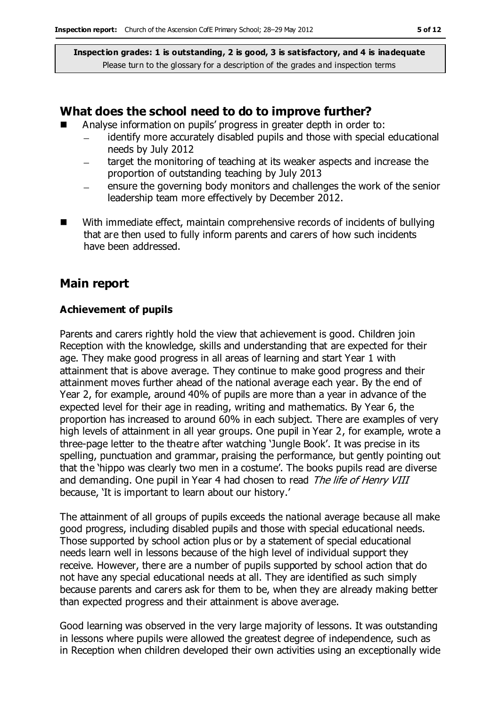#### **What does the school need to do to improve further?**

- Analyse information on pupils' progress in greater depth in order to:
	- identify more accurately disabled pupils and those with special educational needs by July 2012
	- target the monitoring of teaching at its weaker aspects and increase the  $\qquad \qquad$ proportion of outstanding teaching by July 2013
	- ensure the governing body monitors and challenges the work of the senior leadership team more effectively by December 2012.
- With immediate effect, maintain comprehensive records of incidents of bullying that are then used to fully inform parents and carers of how such incidents have been addressed.

### **Main report**

#### **Achievement of pupils**

Parents and carers rightly hold the view that achievement is good. Children join Reception with the knowledge, skills and understanding that are expected for their age. They make good progress in all areas of learning and start Year 1 with attainment that is above average. They continue to make good progress and their attainment moves further ahead of the national average each year. By the end of Year 2, for example, around 40% of pupils are more than a year in advance of the expected level for their age in reading, writing and mathematics. By Year 6, the proportion has increased to around 60% in each subject. There are examples of very high levels of attainment in all year groups. One pupil in Year 2, for example, wrote a three-page letter to the theatre after watching 'Jungle Book'. It was precise in its spelling, punctuation and grammar, praising the performance, but gently pointing out that the 'hippo was clearly two men in a costume'. The books pupils read are diverse and demanding. One pupil in Year 4 had chosen to read The life of Henry VIII because, 'It is important to learn about our history.'

The attainment of all groups of pupils exceeds the national average because all make good progress, including disabled pupils and those with special educational needs. Those supported by school action plus or by a statement of special educational needs learn well in lessons because of the high level of individual support they receive. However, there are a number of pupils supported by school action that do not have any special educational needs at all. They are identified as such simply because parents and carers ask for them to be, when they are already making better than expected progress and their attainment is above average.

Good learning was observed in the very large majority of lessons. It was outstanding in lessons where pupils were allowed the greatest degree of independence, such as in Reception when children developed their own activities using an exceptionally wide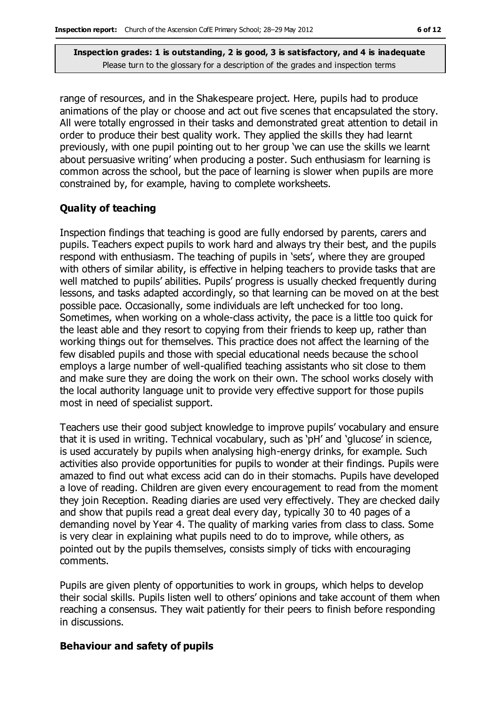range of resources, and in the Shakespeare project. Here, pupils had to produce animations of the play or choose and act out five scenes that encapsulated the story. All were totally engrossed in their tasks and demonstrated great attention to detail in order to produce their best quality work. They applied the skills they had learnt previously, with one pupil pointing out to her group 'we can use the skills we learnt about persuasive writing' when producing a poster. Such enthusiasm for learning is common across the school, but the pace of learning is slower when pupils are more constrained by, for example, having to complete worksheets.

#### **Quality of teaching**

Inspection findings that teaching is good are fully endorsed by parents, carers and pupils. Teachers expect pupils to work hard and always try their best, and the pupils respond with enthusiasm. The teaching of pupils in 'sets', where they are grouped with others of similar ability, is effective in helping teachers to provide tasks that are well matched to pupils' abilities. Pupils' progress is usually checked frequently during lessons, and tasks adapted accordingly, so that learning can be moved on at the best possible pace. Occasionally, some individuals are left unchecked for too long. Sometimes, when working on a whole-class activity, the pace is a little too quick for the least able and they resort to copying from their friends to keep up, rather than working things out for themselves. This practice does not affect the learning of the few disabled pupils and those with special educational needs because the school employs a large number of well-qualified teaching assistants who sit close to them and make sure they are doing the work on their own. The school works closely with the local authority language unit to provide very effective support for those pupils most in need of specialist support.

Teachers use their good subject knowledge to improve pupils' vocabulary and ensure that it is used in writing. Technical vocabulary, such as 'pH' and 'glucose' in science, is used accurately by pupils when analysing high-energy drinks, for example. Such activities also provide opportunities for pupils to wonder at their findings. Pupils were amazed to find out what excess acid can do in their stomachs. Pupils have developed a love of reading. Children are given every encouragement to read from the moment they join Reception. Reading diaries are used very effectively. They are checked daily and show that pupils read a great deal every day, typically 30 to 40 pages of a demanding novel by Year 4. The quality of marking varies from class to class. Some is very clear in explaining what pupils need to do to improve, while others, as pointed out by the pupils themselves, consists simply of ticks with encouraging comments.

Pupils are given plenty of opportunities to work in groups, which helps to develop their social skills. Pupils listen well to others' opinions and take account of them when reaching a consensus. They wait patiently for their peers to finish before responding in discussions.

#### **Behaviour and safety of pupils**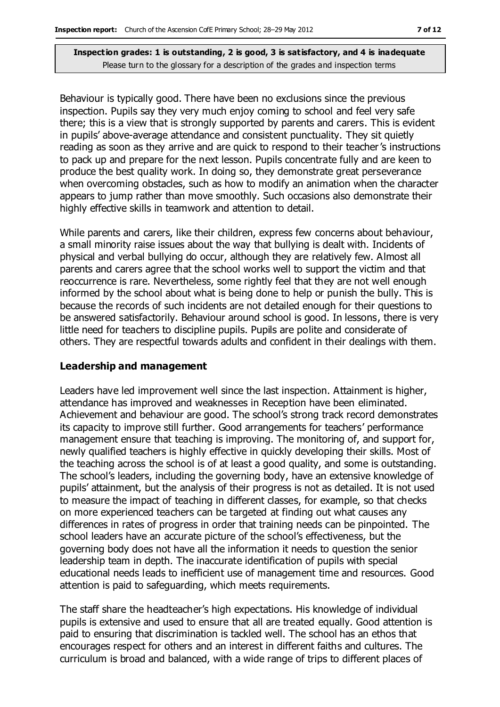Behaviour is typically good. There have been no exclusions since the previous inspection. Pupils say they very much enjoy coming to school and feel very safe there; this is a view that is strongly supported by parents and carers. This is evident in pupils' above-average attendance and consistent punctuality. They sit quietly reading as soon as they arrive and are quick to respond to their teacher's instructions to pack up and prepare for the next lesson. Pupils concentrate fully and are keen to produce the best quality work. In doing so, they demonstrate great perseverance when overcoming obstacles, such as how to modify an animation when the character appears to jump rather than move smoothly. Such occasions also demonstrate their highly effective skills in teamwork and attention to detail.

While parents and carers, like their children, express few concerns about behaviour, a small minority raise issues about the way that bullying is dealt with. Incidents of physical and verbal bullying do occur, although they are relatively few. Almost all parents and carers agree that the school works well to support the victim and that reoccurrence is rare. Nevertheless, some rightly feel that they are not well enough informed by the school about what is being done to help or punish the bully. This is because the records of such incidents are not detailed enough for their questions to be answered satisfactorily. Behaviour around school is good. In lessons, there is very little need for teachers to discipline pupils. Pupils are polite and considerate of others. They are respectful towards adults and confident in their dealings with them.

#### **Leadership and management**

Leaders have led improvement well since the last inspection. Attainment is higher, attendance has improved and weaknesses in Reception have been eliminated. Achievement and behaviour are good. The school's strong track record demonstrates its capacity to improve still further. Good arrangements for teachers' performance management ensure that teaching is improving. The monitoring of, and support for, newly qualified teachers is highly effective in quickly developing their skills. Most of the teaching across the school is of at least a good quality, and some is outstanding. The school's leaders, including the governing body, have an extensive knowledge of pupils' attainment, but the analysis of their progress is not as detailed. It is not used to measure the impact of teaching in different classes, for example, so that checks on more experienced teachers can be targeted at finding out what causes any differences in rates of progress in order that training needs can be pinpointed. The school leaders have an accurate picture of the school's effectiveness, but the governing body does not have all the information it needs to question the senior leadership team in depth. The inaccurate identification of pupils with special educational needs leads to inefficient use of management time and resources. Good attention is paid to safeguarding, which meets requirements.

The staff share the headteacher's high expectations. His knowledge of individual pupils is extensive and used to ensure that all are treated equally. Good attention is paid to ensuring that discrimination is tackled well. The school has an ethos that encourages respect for others and an interest in different faiths and cultures. The curriculum is broad and balanced, with a wide range of trips to different places of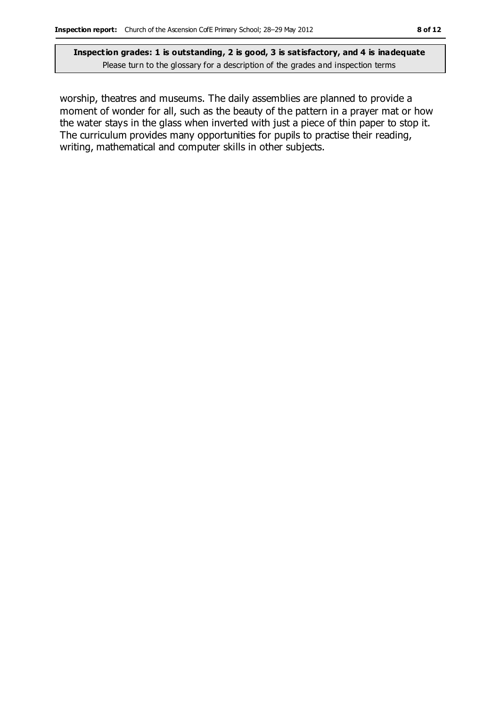worship, theatres and museums. The daily assemblies are planned to provide a moment of wonder for all, such as the beauty of the pattern in a prayer mat or how the water stays in the glass when inverted with just a piece of thin paper to stop it. The curriculum provides many opportunities for pupils to practise their reading, writing, mathematical and computer skills in other subjects.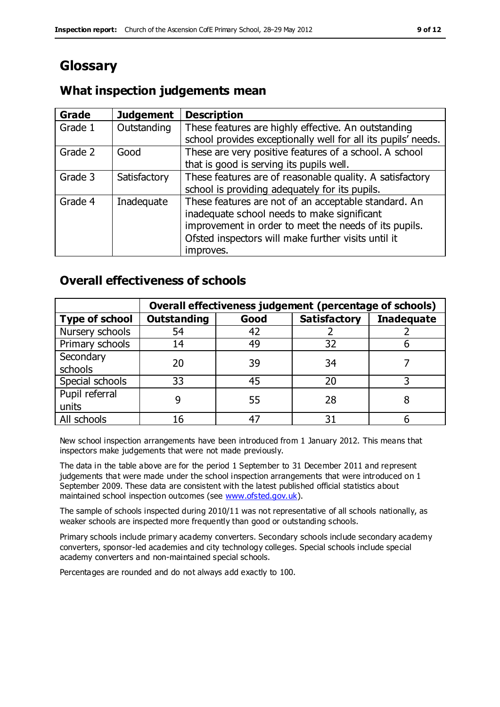# **Glossary**

#### **Grade Judgement Description** Grade  $1$  | Outstanding | These features are highly effective. An outstanding school provides exceptionally well for all its pupils' needs. Grade 2 Good These are very positive features of a school. A school that is good is serving its pupils well. Grade 3  $\parallel$  Satisfactory  $\parallel$  These features are of reasonable quality. A satisfactory school is providing adequately for its pupils. Grade 4  $\parallel$  Inadequate  $\parallel$  These features are not of an acceptable standard. An inadequate school needs to make significant improvement in order to meet the needs of its pupils. Ofsted inspectors will make further visits until it improves.

### **What inspection judgements mean**

### **Overall effectiveness of schools**

|                       | Overall effectiveness judgement (percentage of schools) |      |                     |                   |
|-----------------------|---------------------------------------------------------|------|---------------------|-------------------|
| <b>Type of school</b> | <b>Outstanding</b>                                      | Good | <b>Satisfactory</b> | <b>Inadequate</b> |
| Nursery schools       | 54                                                      | 42   |                     |                   |
| Primary schools       | 14                                                      | 49   | 32                  |                   |
| Secondary             | 20                                                      | 39   | 34                  |                   |
| schools               |                                                         |      |                     |                   |
| Special schools       | 33                                                      | 45   | 20                  |                   |
| Pupil referral        |                                                         | 55   | 28                  |                   |
| units                 |                                                         |      |                     |                   |
| All schools           | 16                                                      |      | 3٠                  |                   |

New school inspection arrangements have been introduced from 1 January 2012. This means that inspectors make judgements that were not made previously.

The data in the table above are for the period 1 September to 31 December 2011 and represent judgements that were made under the school inspection arrangements that were introduced on 1 September 2009. These data are consistent with the latest published official statistics about maintained school inspection outcomes (see [www.ofsted.gov.uk\)](http://www.ofsted.gov.uk/).

The sample of schools inspected during 2010/11 was not representative of all schools nationally, as weaker schools are inspected more frequently than good or outstanding schools.

Primary schools include primary academy converters. Secondary schools include secondary academy converters, sponsor-led academies and city technology colleges. Special schools include special academy converters and non-maintained special schools.

Percentages are rounded and do not always add exactly to 100.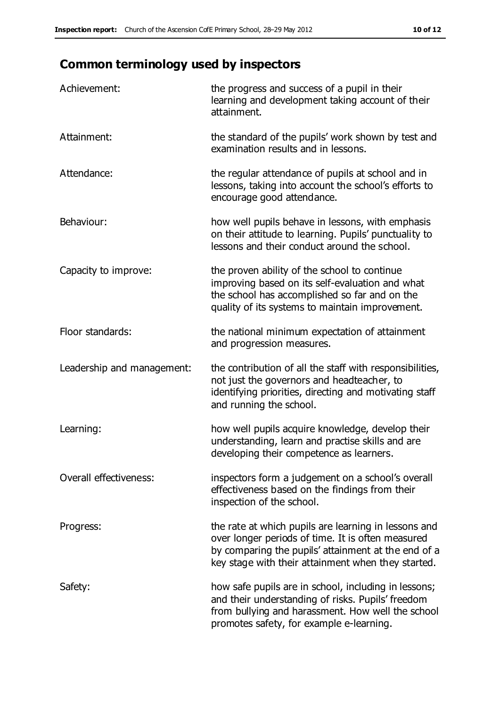# **Common terminology used by inspectors**

| Achievement:               | the progress and success of a pupil in their<br>learning and development taking account of their<br>attainment.                                                                                                        |
|----------------------------|------------------------------------------------------------------------------------------------------------------------------------------------------------------------------------------------------------------------|
| Attainment:                | the standard of the pupils' work shown by test and<br>examination results and in lessons.                                                                                                                              |
| Attendance:                | the regular attendance of pupils at school and in<br>lessons, taking into account the school's efforts to<br>encourage good attendance.                                                                                |
| Behaviour:                 | how well pupils behave in lessons, with emphasis<br>on their attitude to learning. Pupils' punctuality to<br>lessons and their conduct around the school.                                                              |
| Capacity to improve:       | the proven ability of the school to continue<br>improving based on its self-evaluation and what<br>the school has accomplished so far and on the<br>quality of its systems to maintain improvement.                    |
| Floor standards:           | the national minimum expectation of attainment<br>and progression measures.                                                                                                                                            |
| Leadership and management: | the contribution of all the staff with responsibilities,<br>not just the governors and headteacher, to<br>identifying priorities, directing and motivating staff<br>and running the school.                            |
| Learning:                  | how well pupils acquire knowledge, develop their<br>understanding, learn and practise skills and are<br>developing their competence as learners.                                                                       |
| Overall effectiveness:     | inspectors form a judgement on a school's overall<br>effectiveness based on the findings from their<br>inspection of the school.                                                                                       |
| Progress:                  | the rate at which pupils are learning in lessons and<br>over longer periods of time. It is often measured<br>by comparing the pupils' attainment at the end of a<br>key stage with their attainment when they started. |
| Safety:                    | how safe pupils are in school, including in lessons;<br>and their understanding of risks. Pupils' freedom<br>from bullying and harassment. How well the school<br>promotes safety, for example e-learning.             |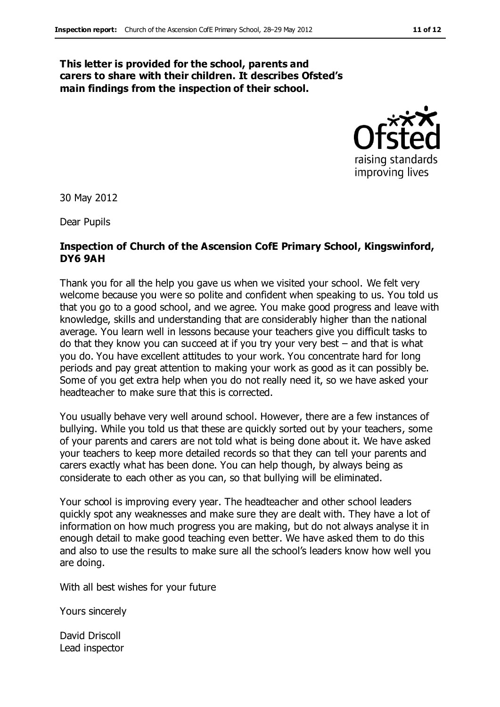#### **This letter is provided for the school, parents and carers to share with their children. It describes Ofsted's main findings from the inspection of their school.**



30 May 2012

Dear Pupils

#### **Inspection of Church of the Ascension CofE Primary School, Kingswinford, DY6 9AH**

Thank you for all the help you gave us when we visited your school. We felt very welcome because you were so polite and confident when speaking to us. You told us that you go to a good school, and we agree. You make good progress and leave with knowledge, skills and understanding that are considerably higher than the national average. You learn well in lessons because your teachers give you difficult tasks to do that they know you can succeed at if you try your very best – and that is what you do. You have excellent attitudes to your work. You concentrate hard for long periods and pay great attention to making your work as good as it can possibly be. Some of you get extra help when you do not really need it, so we have asked your headteacher to make sure that this is corrected.

You usually behave very well around school. However, there are a few instances of bullying. While you told us that these are quickly sorted out by your teachers, some of your parents and carers are not told what is being done about it. We have asked your teachers to keep more detailed records so that they can tell your parents and carers exactly what has been done. You can help though, by always being as considerate to each other as you can, so that bullying will be eliminated.

Your school is improving every year. The headteacher and other school leaders quickly spot any weaknesses and make sure they are dealt with. They have a lot of information on how much progress you are making, but do not always analyse it in enough detail to make good teaching even better. We have asked them to do this and also to use the results to make sure all the school's leaders know how well you are doing.

With all best wishes for your future

Yours sincerely

David Driscoll Lead inspector